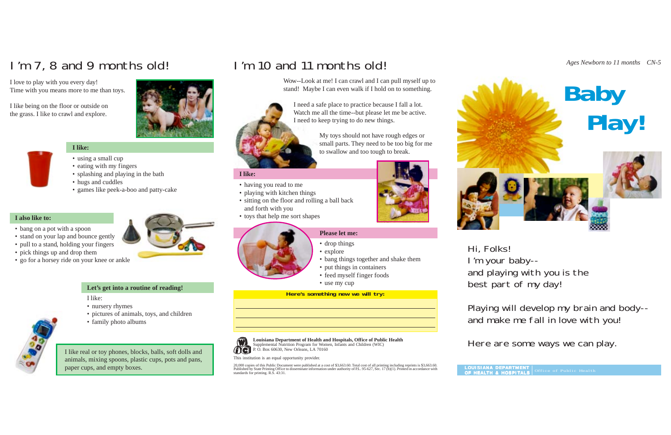# **I like:**

- using a small cup
- eating with my fingers
- splashing and playing in the bath
- hugs and cuddles
- games like peek-a-boo and patty-cake

### **I also like to:**

- bang on a pot with a spoon
- stand on your lap and bounce gently
- pull to a stand, holding your fingers
- pick things up and drop them
- go for a horsey ride on your knee or ankle

Hi, Folks! I'm your baby- and playing with you is the best part of my day!

Playing will develop my brain and body- and make me fall in love with you!

Here are some ways we can play.



- drop things
- explore
- bang things together and shake them
- put things in containers
- feed myself finger foods
- use my cup

I like real or toy phones, blocks, balls, soft dolls and animals, mixing spoons, plastic cups, pots and pans, paper cups, and empty boxes.

### **Let's get into a routine of reading!**

I like:

- nursery rhymes
- pictures of animals, toys, and children
- family photo albums

# I'm 7, 8 and 9 months old! I'm 10 and 11 months old!

I love to play with you every day! Time with you means more to me than toys.

I like being on the floor or outside on the grass. I like to crawl and explore.



### **Please let me:**

Wow--Look at me! I can crawl and I can pull myself up to stand! Maybe I can even walk if I hold on to something.



## **I like:**

- having you read to me
- playing with kitchen things
- sitting on the floor and rolling a ball back and forth with you
- toys that help me sort shapes

This institution is an equal opportunity provider.

20,000 copies of this Public Document were published at a cost of \$3,663.60. Total cost of all printing including reprints is \$3,663.60. Published by State Printing Office to disseminate information under authority of P.L. 95-627, Sec. 17 (b)(1). Printed in accordance with standards for printing. R.S. 43:31.





**Here's something new we will try:**





I need a safe place to practice because I fall a lot. Watch me all the time--but please let me be active. I need to keep trying to do new things.

> My toys should not have rough edges or small parts. They need to be too big for me to swallow and too tough to break.

**Louisiana Department of Health and Hospitals, Office of Public Health** Supplemental Nutrition Program for Women, Infants and Children (WIC) P. O. Box 60630, New Orleans, LA 70160

**LOUISIANA DEP A R TMENT OF HEALTH & HOSPIT ALS** Office of Public Health